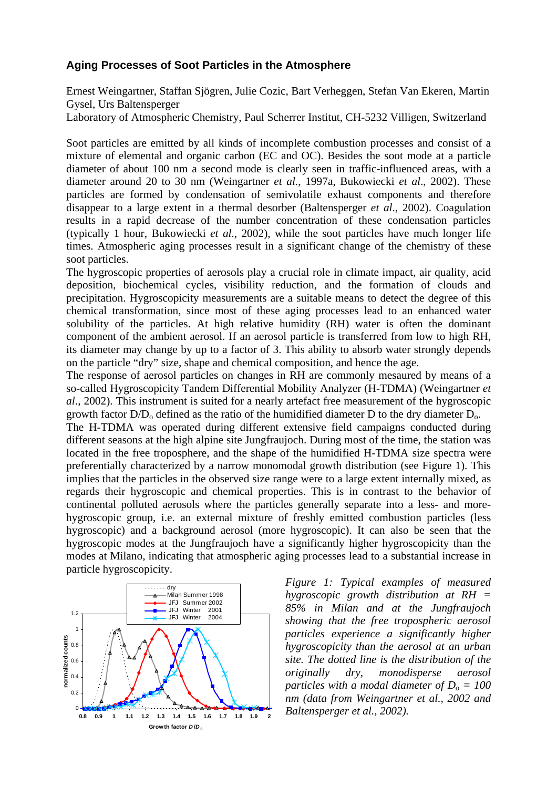#### **Aging Processes of Soot Particles in the Atmosphere**

Ernest Weingartner, Staffan Sjögren, Julie Cozic, Bart Verheggen, Stefan Van Ekeren, Martin Gysel, Urs Baltensperger

Laboratory of Atmospheric Chemistry, Paul Scherrer Institut, CH-5232 Villigen, Switzerland

Soot particles are emitted by all kinds of incomplete combustion processes and consist of a mixture of elemental and organic carbon (EC and OC). Besides the soot mode at a particle diameter of about 100 nm a second mode is clearly seen in traffic-influenced areas, with a diameter around 20 to 30 nm (Weingartner *et al.*, 1997a, Bukowiecki *et al*., 2002). These particles are formed by condensation of semivolatile exhaust components and therefore disappear to a large extent in a thermal desorber (Baltensperger *et al*., 2002). Coagulation results in a rapid decrease of the number concentration of these condensation particles (typically 1 hour, Bukowiecki *et al*., 2002), while the soot particles have much longer life times. Atmospheric aging processes result in a significant change of the chemistry of these soot particles.

The hygroscopic properties of aerosols play a crucial role in climate impact, air quality, acid deposition, biochemical cycles, visibility reduction, and the formation of clouds and precipitation. Hygroscopicity measurements are a suitable means to detect the degree of this chemical transformation, since most of these aging processes lead to an enhanced water solubility of the particles. At high relative humidity (RH) water is often the dominant component of the ambient aerosol. If an aerosol particle is transferred from low to high RH, its diameter may change by up to a factor of 3. This ability to absorb water strongly depends on the particle "dry" size, shape and chemical composition, and hence the age.

The response of aerosol particles on changes in RH are commonly mesaured by means of a so-called Hygroscopicity Tandem Differential Mobility Analyzer (H-TDMA) (Weingartner *et al*., 2002). This instrument is suited for a nearly artefact free measurement of the hygroscopic growth factor  $D/D_0$  defined as the ratio of the humidified diameter D to the dry diameter  $D_0$ .

The H-TDMA was operated during different extensive field campaigns conducted during different seasons at the high alpine site Jungfraujoch. During most of the time, the station was located in the free troposphere, and the shape of the humidified H-TDMA size spectra were preferentially characterized by a narrow monomodal growth distribution (see Figure 1). This implies that the particles in the observed size range were to a large extent internally mixed, as regards their hygroscopic and chemical properties. This is in contrast to the behavior of continental polluted aerosols where the particles generally separate into a less- and morehygroscopic group, i.e. an external mixture of freshly emitted combustion particles (less hygroscopic) and a background aerosol (more hygroscopic). It can also be seen that the hygroscopic modes at the Jungfraujoch have a significantly higher hygroscopicity than the modes at Milano, indicating that atmospheric aging processes lead to a substantial increase in particle hygroscopicity.



*Figure 1: Typical examples of measured hygroscopic growth distribution at RH = 85% in Milan and at the Jungfraujoch showing that the free tropospheric aerosol particles experience a significantly higher hygroscopicity than the aerosol at an urban site. The dotted line is the distribution of the originally dry, monodisperse aerosol particles with a modal diameter of*  $D_0 = 100$ *nm (data from Weingartner et al., 2002 and Baltensperger et al., 2002).*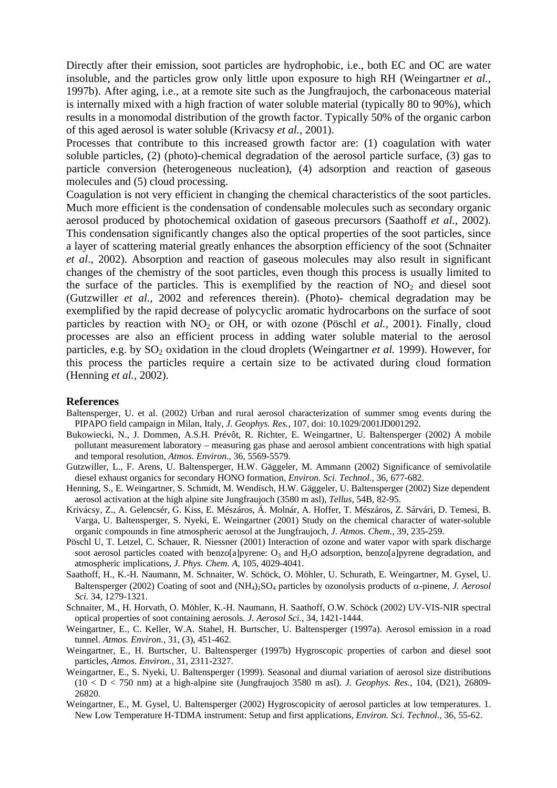Directly after their emission, soot particles are hydrophobic, i.e., both EC and OC are water insoluble, and the particles grow only little upon exposure to high RH (Weingartner *et al.*, 1997b). After aging, i.e., at a remote site such as the Jungfraujoch, the carbonaceous material is internally mixed with a high fraction of water soluble material (typically 80 to 90%), which results in a monomodal distribution of the growth factor. Typically 50% of the organic carbon of this aged aerosol is water soluble (Krivacsy *et al.*, 2001).

Processes that contribute to this increased growth factor are: (1) coagulation with water soluble particles, (2) (photo)-chemical degradation of the aerosol particle surface, (3) gas to particle conversion (heterogeneous nucleation), (4) adsorption and reaction of gaseous molecules and (5) cloud processing.

Coagulation is not very efficient in changing the chemical characteristics of the soot particles. Much more efficient is the condensation of condensable molecules such as secondary organic aerosol produced by photochemical oxidation of gaseous precursors (Saathoff *et al.,* 2002). This condensation significantly changes also the optical properties of the soot particles, since a layer of scattering material greatly enhances the absorption efficiency of the soot (Schnaiter *et al*., 2002). Absorption and reaction of gaseous molecules may also result in significant changes of the chemistry of the soot particles, even though this process is usually limited to the surface of the particles. This is exemplified by the reaction of  $NO<sub>2</sub>$  and diesel soot (Gutzwiller *et al.,* 2002 and references therein). (Photo)- chemical degradation may be exemplified by the rapid decrease of polycyclic aromatic hydrocarbons on the surface of soot particles by reaction with NO<sub>2</sub> or OH, or with ozone (Pöschl *et al.*, 2001). Finally, cloud processes are also an efficient process in adding water soluble material to the aerosol particles, e.g. by SO<sub>2</sub> oxidation in the cloud droplets (Weingartner *et al.* 1999). However, for this process the particles require a certain size to be activated during cloud formation (Henning *et al.,* 2002).

#### **References**

- Baltensperger, U. et al. (2002) Urban and rural aerosol characterization of summer smog events during the PIPAPO field campaign in Milan, Italy, *J. Geophys. Res.*, 107, doi: 10.1029/2001JD001292.
- Bukowiecki, N., J. Dommen, A.S.H. Prévôt, R. Richter, E. Weingartner, U. Baltensperger (2002) A mobile pollutant measurement laboratory – measuring gas phase and aerosol ambient concentrations with high spatial and temporal resolution, *Atmos. Environ.,* 36, 5569-5579.
- Gutzwiller, L., F. Arens, U. Baltensperger, H.W. Gäggeler, M. Ammann (2002) Significance of semivolatile diesel exhaust organics for secondary HONO formation, *Environ. Sci. Technol.*, 36, 677-682.
- Henning, S., E. Weingartner, S. Schmidt, M. Wendisch, H.W. Gäggeler, U. Baltensperger (2002) Size dependent aerosol activation at the high alpine site Jungfraujoch (3580 m asl), *Tellus*, 54B, 82-95.
- Krivácsy, Z., A. Gelencsér, G. Kiss, E. Mészáros, Á. Molnár, A. Hoffer, T. Mészáros, Z. Sárvári, D. Temesi, B. Varga, U. Baltensperger, S. Nyeki, E. Weingartner (2001) Study on the chemical character of water-soluble organic compounds in fine atmospheric aerosol at the Jungfraujoch, *J. Atmos. Chem.*, 39, 235-259.
- Pöschl U, T. Letzel, C. Schauer, R. Niessner (2001) Interaction of ozone and water vapor with spark discharge soot aerosol particles coated with benzo[a]pyrene:  $O_3$  and  $H_2O$  adsorption, benzo[a]pyrene degradation, and atmospheric implications, *J. Phys. Chem. A*, 105, 4029-4041.
- Saathoff, H., K.-H. Naumann, M. Schnaiter, W. Schöck, O. Möhler, U. Schurath, E. Weingartner, M. Gysel, U. Baltensperger (2002) Coating of soot and (NH4)2SO4 particles by ozonolysis products of α-pinene, *J. Aerosol Sci.* 34, 1279-1321.
- Schnaiter, M., H. Horvath, O. Möhler, K.-H. Naumann, H. Saathoff, O.W. Schöck (2002) UV-VIS-NIR spectral optical properties of soot containing aerosols. *J. Aerosol Sci.,* 34, 1421-1444.
- Weingartner, E., C. Keller, W.A. Stahel, H. Burtscher, U. Baltensperger (1997a). Aerosol emission in a road tunnel. *Atmos. Environ.*, 31, (3), 451-462.
- Weingartner, E., H. Burtscher, U. Baltensperger (1997b) Hygroscopic properties of carbon and diesel soot particles, *Atmos. Environ.,* 31, 2311-2327.
- Weingartner, E., S. Nyeki, U. Baltensperger (1999). Seasonal and diurnal variation of aerosol size distributions (10 < D < 750 nm) at a high-alpine site (Jungfraujoch 3580 m asl). *J. Geophys. Res.*, 104, (D21), 26809- 26820.
- Weingartner, E., M. Gysel, U. Baltensperger (2002) Hygroscopicity of aerosol particles at low temperatures. 1. New Low Temperature H-TDMA instrument: Setup and first applications, *Environ. Sci. Technol.,* 36, 55-62.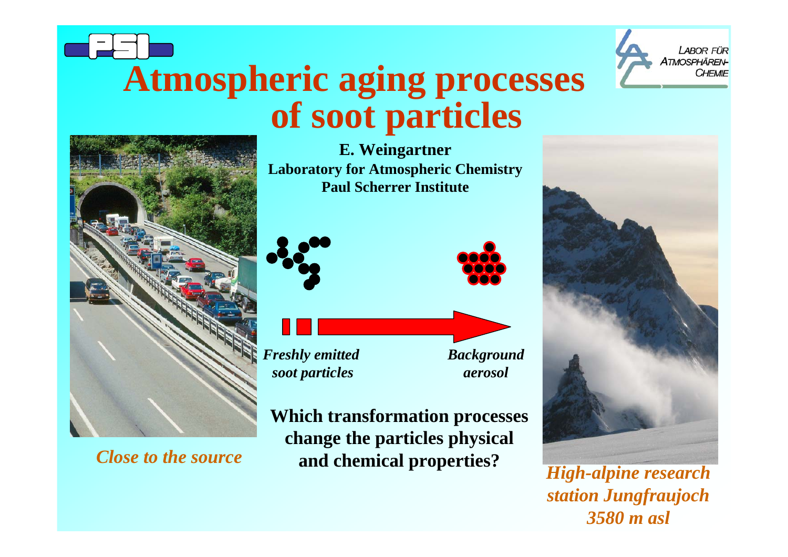# **of soot particles Atmospheric aging processes**





*Close to the source*

**E. Weingartner Laboratory for Atmospheric Chemistry Paul Scherrer Institute**



*Freshly emitted soot particles*

*Background aerosol*

**Which transformation processes change the particles physical and chemical properties?** *High-alpine research* 



*station Jungfraujoch 3580 m asl*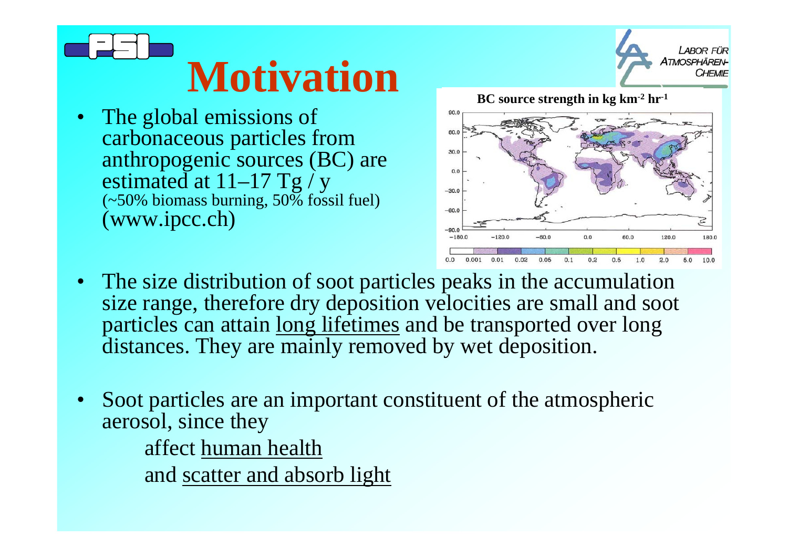# **Motivation**

• The global emissions of carbonaceous particles from anthropogenic sources (BC) are estimated at  $11-17$  Tg / y (~50% biomass burning, 50% fossil fuel) (www.ipcc.ch)

**BC source strength in kg km-2 hr-1** $90.0$  $30.0$  $-30.0$  $-60.0$  $-90.0$  $-180.0$  $-120.0$  $-60.0$  $0.0$ 60.0 120.0 180.0

- The size distribution of soot particles peaks in the accumulation size range, therefore dry deposition velocities are small and soot particles can attain long lifetimes and be transported over long distances. They are mainly removed by wet deposition.
- • Soot particles are an important constituent of the atmospheric aerosol, since they affect human health and scatter and absorb light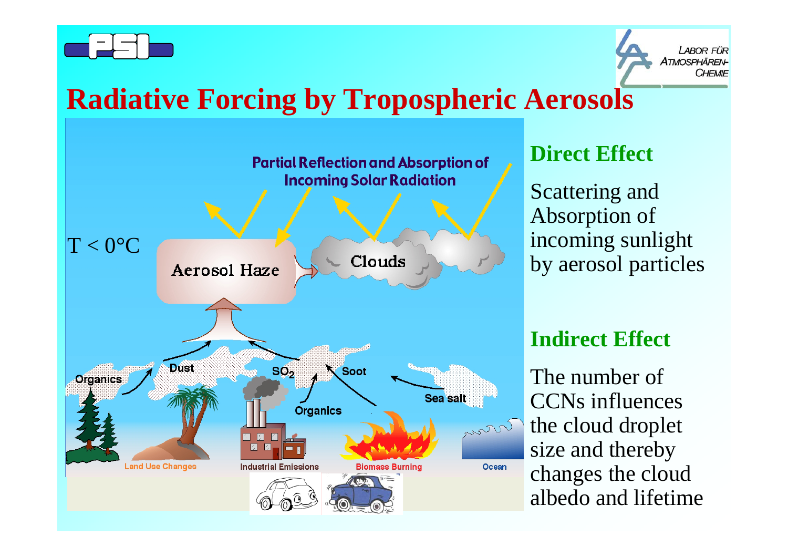

**LABOR FÜR** A*TMOSPHÄRFN*-CHEMIE

# **Radiative Forcing by Tropospheric Aerosols**



#### **Direct Effect**

Scattering and Absorption of incoming sunlight by aerosol particles

#### **Indirect Effect**

The number of CCNs influences the cloud droplet size and thereby changes the cloud albedo and lifetime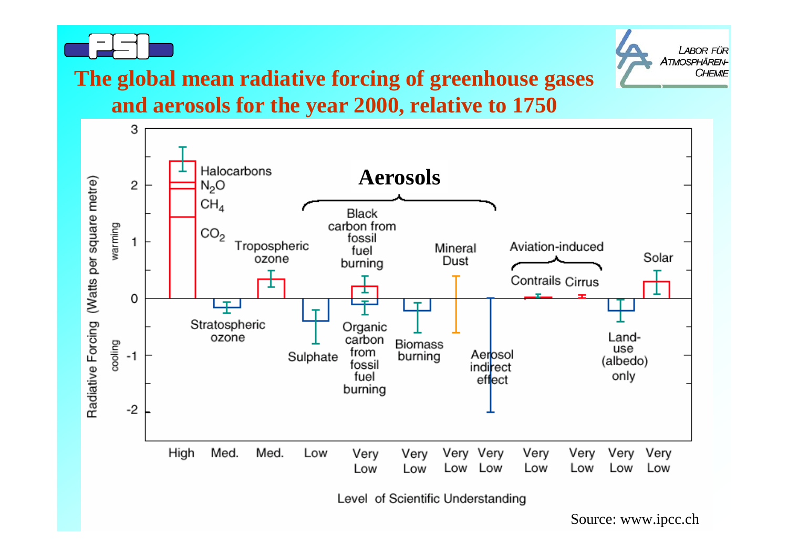



## **The global mean radiative forcing of greenhouse gases**

**and aerosols for the year 2000, relative to 1750**



Source: www.ipcc.ch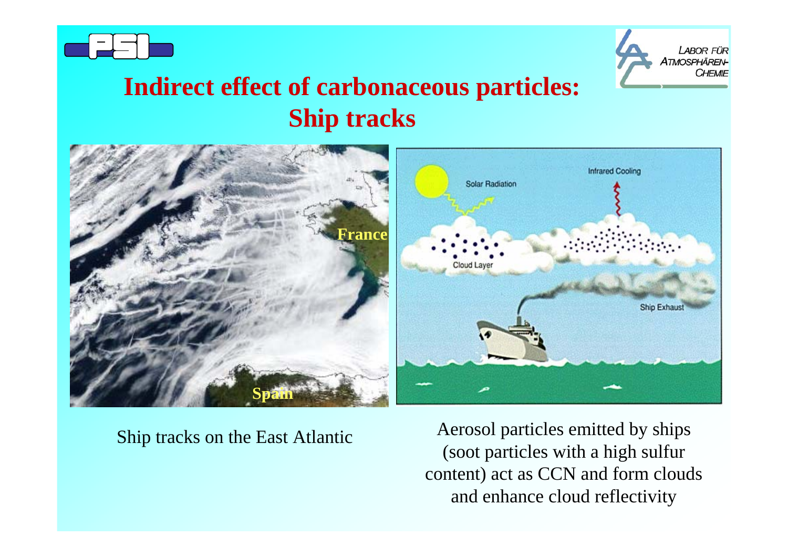



# **Indirect effect of carbonaceous particles: Ship tracks**



Ship tracks on the East Atlantic Aerosol particles emitted by ships (soot particles with a high sulfur content) act as CCN and form clouds and enhance cloud reflectivity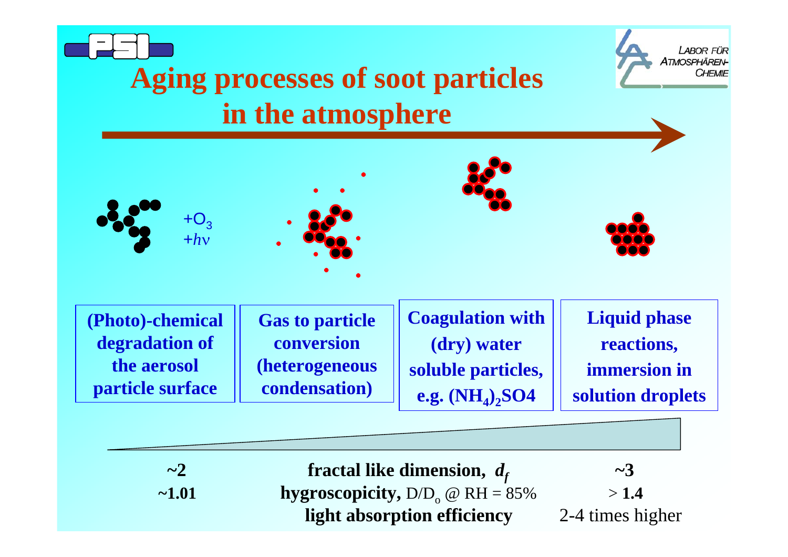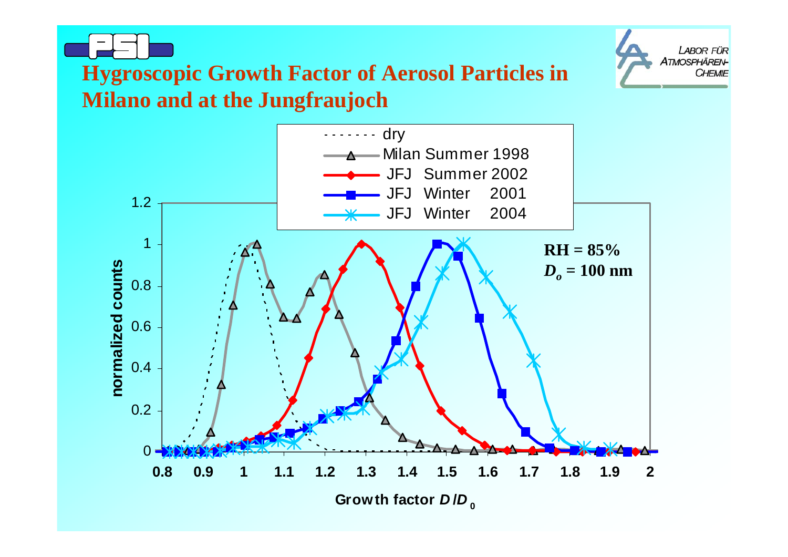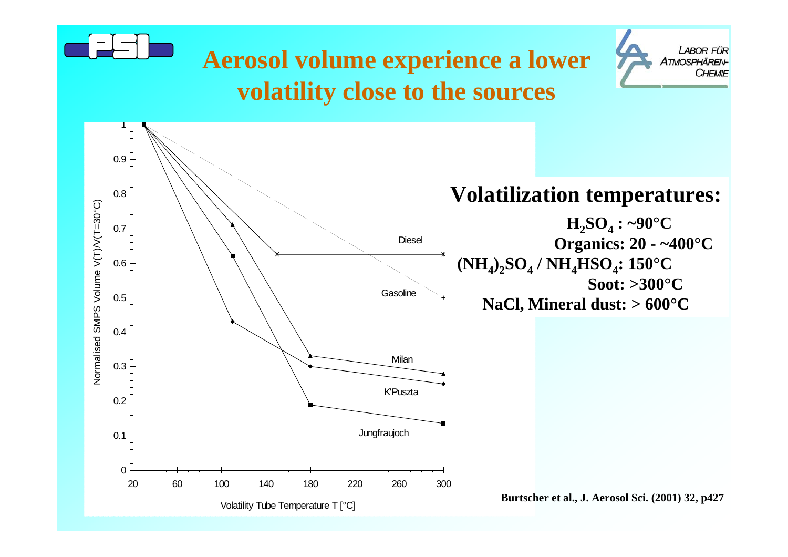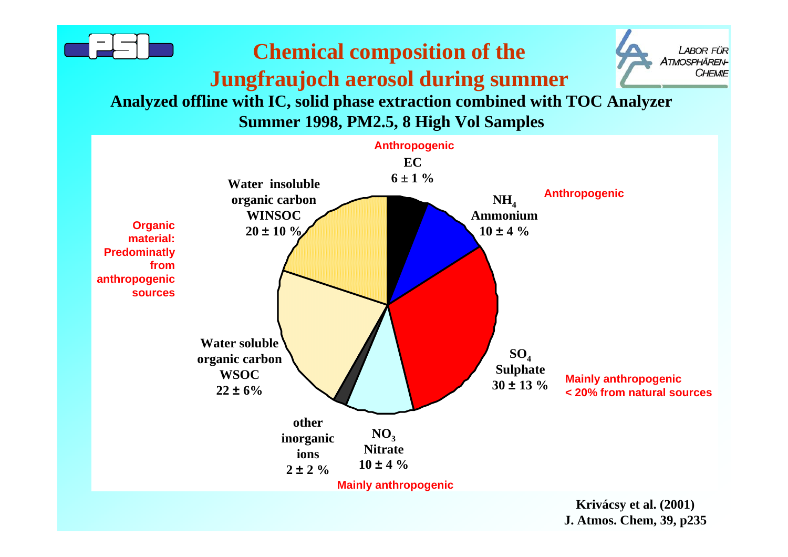

**J. Atmos. Chem, 39, p235**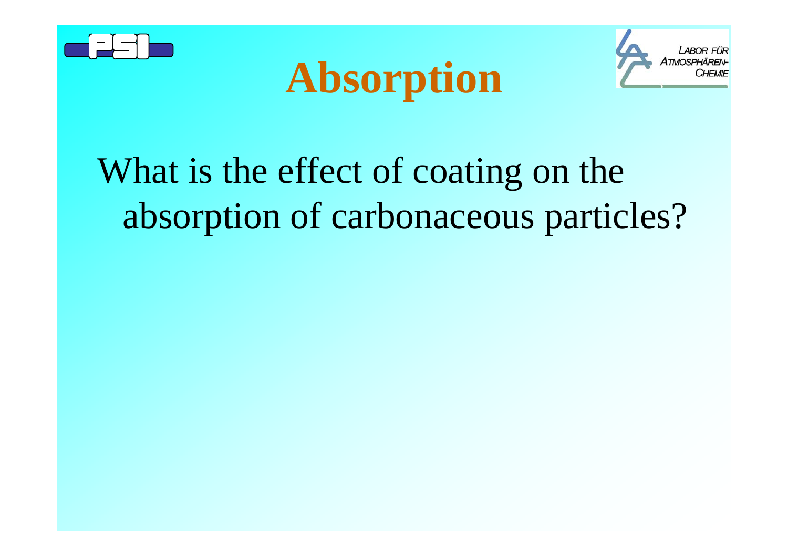





# What is the effect of coating on the absorption of carbonaceous particles?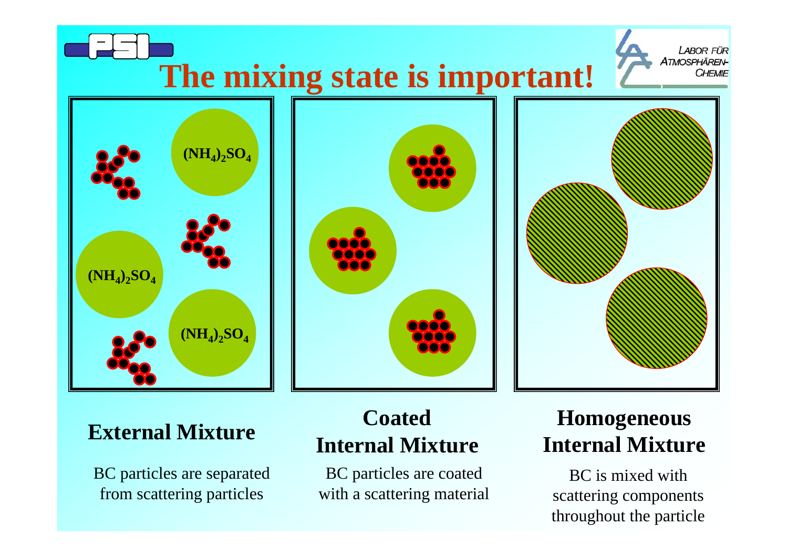

#### **External Mixture**

BC particles are separated from scattering particles

#### **Coated Internal Mixture**

BC particles are coated with a scattering material

## **Homogeneous Internal Mixture**

BC is mixed with scattering components throughout the particle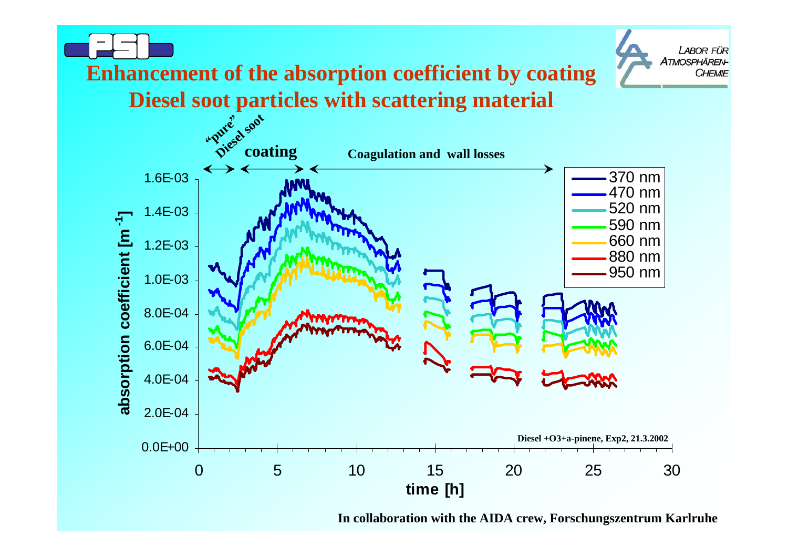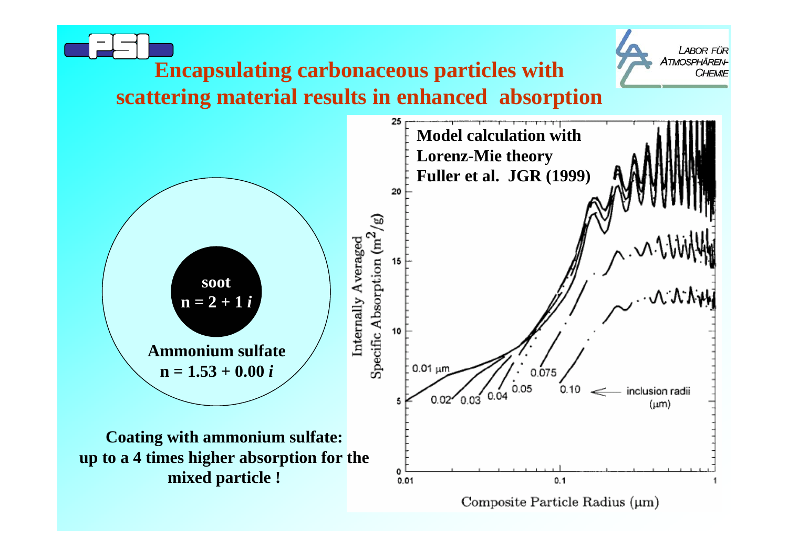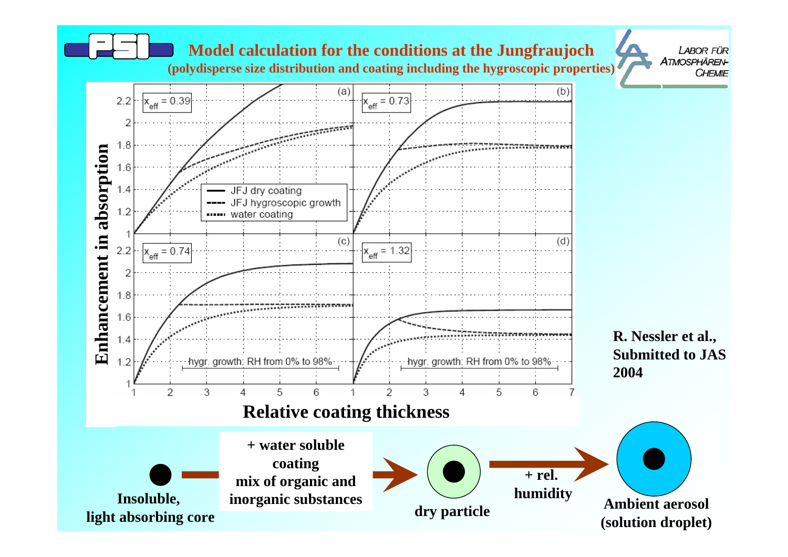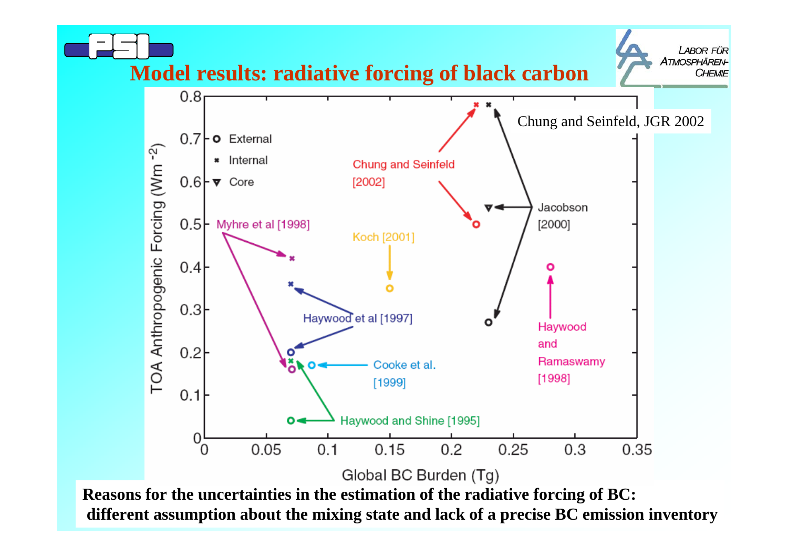

**different assumption about the mixing state and lack of a precise BC emission inventory**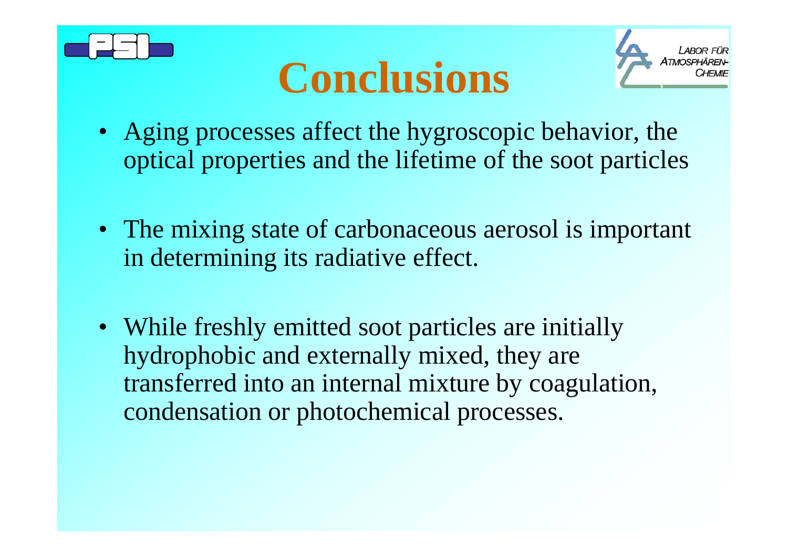





- Aging processes affect the hygroscopic behavior, the optical properties and the lifetime of the soot particles
- The mixing state of carbonaceous aerosol is important in determining its radiative effect.
- While freshly emitted soot particles are initially hydrophobic and externally mixed, they are transferred into an internal mixture by coagulation, condensation or photochemical processes.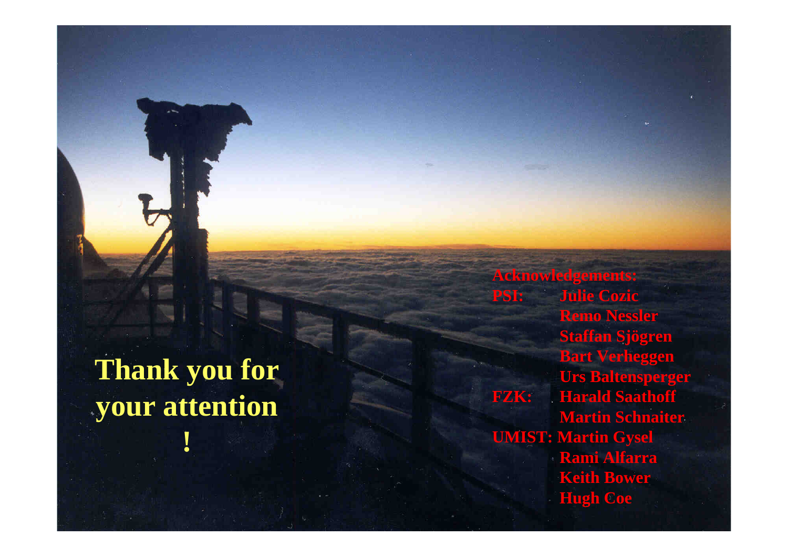**Thank you for your attention**

**!**

**Acknowledgements: PSI: Julie Cozic Remo Nessler Staffan Sjögren Bart Verheggen Urs Baltensperger FZK: Harald Saathoff Martin Schnaiter UMIST: Martin Gysel Rami Alfarra Keith Bower Hugh Coe**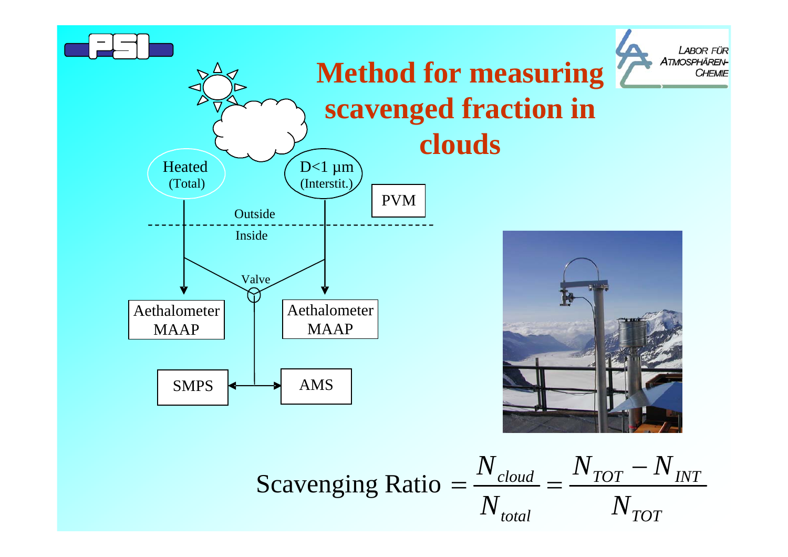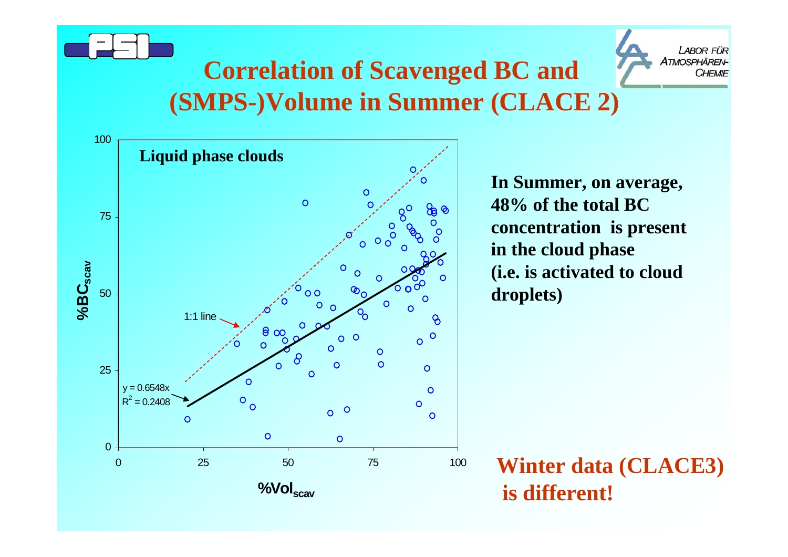



# **Correlation of Scavenged BC and (SMPS-)Volume in Summer (CLACE 2)**



**In Summer, on average, 48% of the total BC concentration is present in the cloud phase (i.e. is activated to cloud droplets)** 

**Winter data (CLACE3) is different!**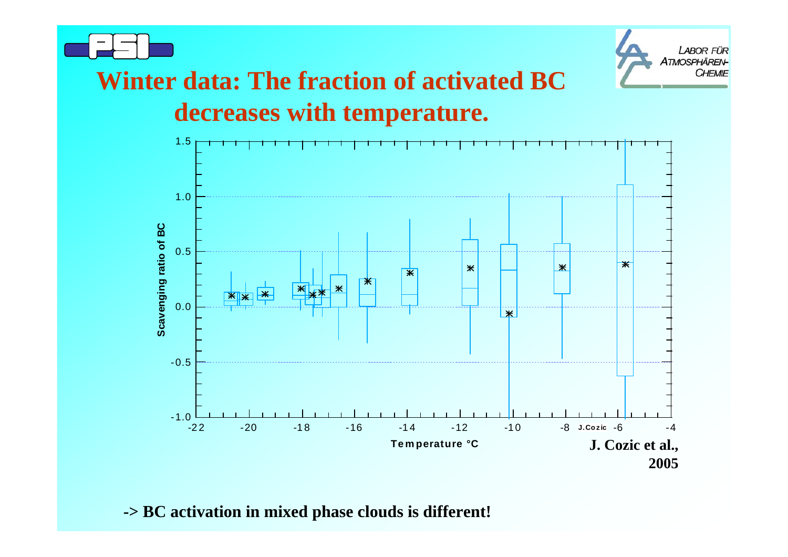



# **Winter data: The fraction of activated BC decreases with temperature.**



**-> BC activation in mixed phase clouds is different!**